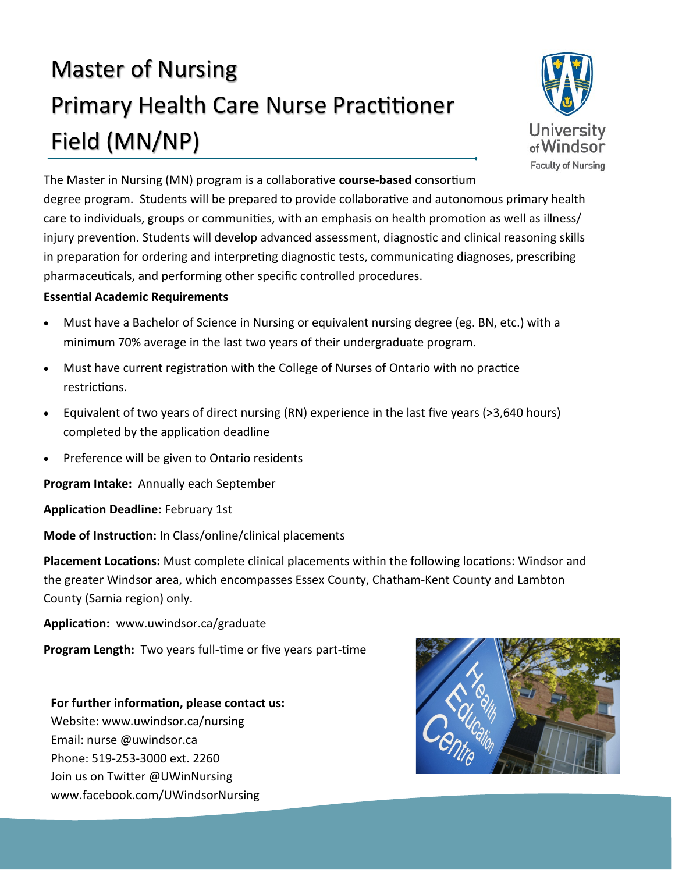# Master of Nursing Primary Health Care Nurse Practitioner Field (MN/NP)



The Master in Nursing (MN) program is a collaborative **course-based** consortium

degree program. Students will be prepared to provide collaborative and autonomous primary health care to individuals, groups or communities, with an emphasis on health promotion as well as illness/ injury prevention. Students will develop advanced assessment, diagnostic and clinical reasoning skills in preparation for ordering and interpreting diagnostic tests, communicating diagnoses, prescribing pharmaceuticals, and performing other specific controlled procedures.

### **Essential Academic Requirements**

- Must have a Bachelor of Science in Nursing or equivalent nursing degree (eg. BN, etc.) with a minimum 70% average in the last two years of their undergraduate program.
- Must have current registration with the College of Nurses of Ontario with no practice restrictions.
- Equivalent of two years of direct nursing (RN) experience in the last five years (>3,640 hours) completed by the application deadline
- Preference will be given to Ontario residents

**Program Intake:** Annually each September

**Application Deadline:** February 1st

**Mode of Instruction:** In Class/online/clinical placements

**Placement Locations:** Must complete clinical placements within the following locations: Windsor and the greater Windsor area, which encompasses Essex County, Chatham-Kent County and Lambton County (Sarnia region) only.

**Application:** www.uwindsor.ca/graduate

**Program Length:** Two years full-time or five years part-time

# **For further information, please contact us:**

Website: www.uwindsor.ca/nursing Email: nurse @uwindsor.ca Phone: 519-253-3000 ext. 2260 Join us on Twitter @UWinNursing www.facebook.com/UWindsorNursing